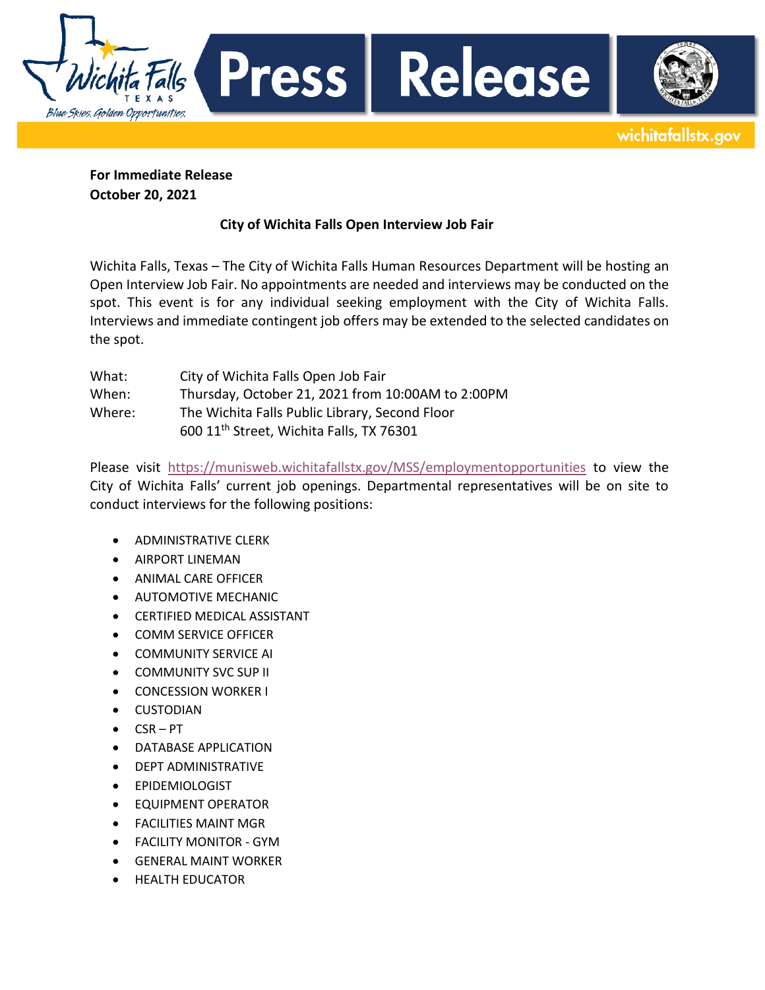Press | Falls Blue Skies. Golden Opportunities.

Release

wichitafallstx.gov

**For Immediate Release October 20, 2021**

## **City of Wichita Falls Open Interview Job Fair**

Wichita Falls, Texas – The City of Wichita Falls Human Resources Department will be hosting an Open Interview Job Fair. No appointments are needed and interviews may be conducted on the spot. This event is for any individual seeking employment with the City of Wichita Falls. Interviews and immediate contingent job offers may be extended to the selected candidates on the spot.

| What:  | City of Wichita Falls Open Job Fair                  |
|--------|------------------------------------------------------|
| When:  | Thursday, October 21, 2021 from 10:00AM to 2:00PM    |
| Where: | The Wichita Falls Public Library, Second Floor       |
|        | 600 11 <sup>th</sup> Street, Wichita Falls, TX 76301 |

Please visit <https://munisweb.wichitafallstx.gov/MSS/employmentopportunities> to view the City of Wichita Falls' current job openings. Departmental representatives will be on site to conduct interviews for the following positions:

- ADMINISTRATIVE CLERK
- AIRPORT LINEMAN
- **ANIMAL CARE OFFICER**
- **AUTOMOTIVE MECHANIC**
- CERTIFIED MEDICAL ASSISTANT
- **COMM SERVICE OFFICER**
- COMMUNITY SERVICE AI
- **COMMUNITY SVC SUP II**
- **CONCESSION WORKER I**
- CUSTODIAN
- $\bullet$  CSR-PT
- DATABASE APPLICATION
- **•** DEPT ADMINISTRATIVE
- EPIDEMIOLOGIST
- **EQUIPMENT OPERATOR**
- FACILITIES MAINT MGR
- FACILITY MONITOR GYM
- GENERAL MAINT WORKER
- HEALTH EDUCATOR